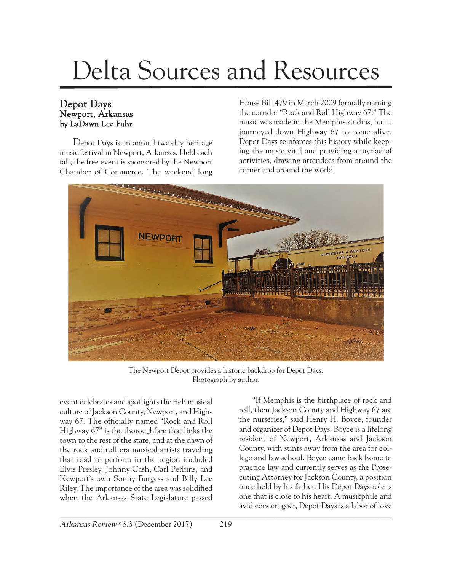## Delta Sources and Resources

## Depot Days Newport, Arkansas by LaDawn Lee Fuhr

Depot Days is an annual two-day heritage music festival in Newport, Arkansas. Held each fall, the free event is sponsored by the Newport Chamber of Commerce. The weekend long

House Bill 479 in March 2009 formally naming the corridor "Rock and Roll Highway 67." The music was made in the Memphis studios, but it journeyed down Highway 67 to come alive. Depot Days reinforces this history while keeping the music vital and providing a myriad of activities, drawing attendees from around the corner and around the world.



The Newport Depot provides a historic backdrop for Depot Days. Photograph by author.

event celebrates and spotlights the rich musical culture of Jackson County, Newport, and Highway 67. The officially named "Rock and Roll Highway 67" is the thoroughfare that links the town to the rest of the state, and at the dawn of the rock and roll era musical artists traveling that road to perform in the region included Elvis Presley, Johnny Cash, Carl Perkins, and Newport's own Sonny Burgess and Billy Lee Riley. The importance of the area was solidified when the Arkansas State Legislature passed

\_\_\_\_\_\_\_\_\_\_\_\_\_\_\_\_\_\_\_\_\_\_\_\_\_\_\_\_\_\_\_\_\_\_\_\_\_\_\_\_\_\_\_\_\_\_\_\_\_\_\_\_\_\_\_\_\_\_\_\_\_\_\_\_\_\_\_\_\_\_\_\_\_\_\_\_\_\_\_\_\_\_\_ "If Memphis is the birthplace of rock and roll, then Jackson County and Highway 67 are the nurseries," said Henry H. Boyce, founder and organizer of Depot Days. Boyce is a lifelong resident of Newport, Arkansas and Jackson County, with stints away from the area for college and law school. Boyce came back home to practice law and currently serves as the Prosecuting Attorney for Jackson County, a position once held by his father. His Depot Days role is one that is close to his heart. A musicphile and avid concert goer, Depot Days is a labor of love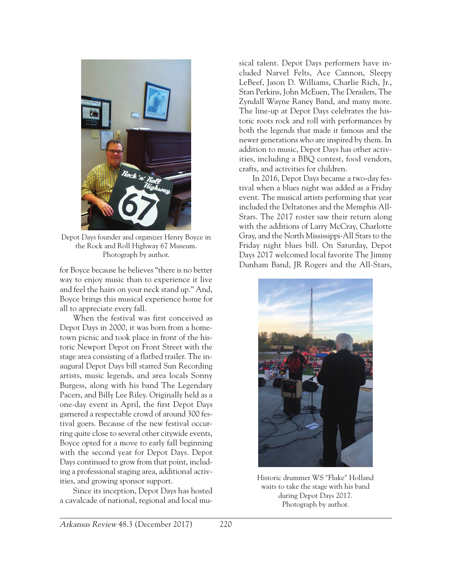

Depot Days founder and organizer Henry Boyce in the Rock and Roll Highway 67 Museum. Photograph by author.

for Boyce because he believes "there is no better way to enjoy music than to experience it live and feel the hairs on your neck stand up." And, Boyce brings this musical experience home for all to appreciate every fall.

When the festival was first conceived as Depot Days in 2000, it was born from a hometown picnic and took place in front of the historic Newport Depot on Front Street with the stage area consisting of a flatbed trailer. The inaugural Depot Days bill starred Sun Recording artists, music legends, and area locals Sonny Burgess, along with his band The Legendary Pacers, and Billy Lee Riley. Originally held as a one-day event in April, the first Depot Days garnered a respectable crowd of around 300 festival goers. Because of the new festival occurring quite close to several other citywide events, Boyce opted for a move to early fall beginning with the second year for Depot Days. Depot Days continued to grow from that point, including a professional staging area, additional activities, and growing sponsor support.

Since its inception, Depot Days has hosted a cavalcade of national, regional and local musical talent. Depot Days performers have included Narvel Felts, Ace Cannon, Sleepy LeBeef, Jason D. Williams, Charlie Rich, Jr., Stan Perkins, John McEuen, The Derailers, The Zyndall Wayne Raney Band, and many more. The line-up at Depot Days celebrates the historic roots rock and roll with performances by both the legends that made it famous and the newer generations who are inspired by them. In addition to music, Depot Days has other activities, including a BBQ contest, food vendors, crafts, and activities for children.

In 2016, Depot Days became a two-day festival when a blues night was added as a Friday event. The musical artists performing that year included the Deltatones and the Memphis All-Stars. The 2017 roster saw their return along with the additions of Larry McCray, Charlotte Gray, and the North Mississippi-All Stars to the Friday night blues bill. On Saturday, Depot Days 2017 welcomed local favorite The Jimmy Dunham Band, JR Rogers and the All-Stars,



Historic drummer WS "Fluke" Holland waits to take the stage with his band during Depot Days 2017. Photograph by author.